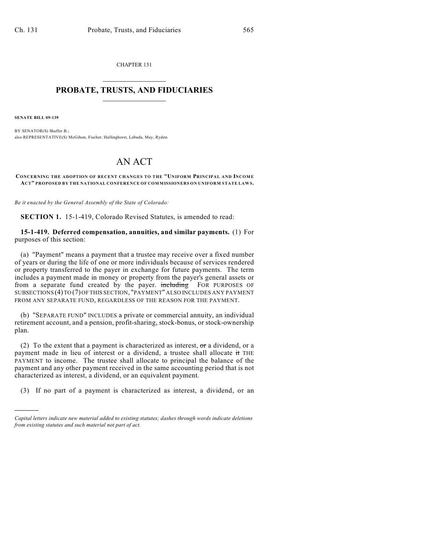CHAPTER 131  $\overline{\phantom{a}}$  . The set of the set of the set of the set of the set of the set of the set of the set of the set of the set of the set of the set of the set of the set of the set of the set of the set of the set of the set o

## **PROBATE, TRUSTS, AND FIDUCIARIES**  $\overline{\phantom{a}}$

**SENATE BILL 09-139**

)))))

BY SENATOR(S) Shaffer B.; also REPRESENTATIVE(S) McGihon, Fischer, Hullinghorst, Labuda, May, Ryden.

## AN ACT

## **CONCERNING THE ADOPTION OF RECENT CHANGES TO THE "UNIFORM PRINCIPAL AND INCOM E ACT" PROPOSED BY THE NATIONAL CONFERENCE OF COMMISSIONERS ON UNIFORM STATE LAW S.**

*Be it enacted by the General Assembly of the State of Colorado:*

**SECTION 1.** 15-1-419, Colorado Revised Statutes, is amended to read:

## **15-1-419. Deferred compensation, annuities, and similar payments.** (1) For purposes of this section:

(a) "Payment" means a payment that a trustee may receive over a fixed number of years or during the life of one or more individuals because of services rendered or property transferred to the payer in exchange for future payments. The term includes a payment made in money or property from the payer's general assets or from a separate fund created by the payer. including FOR PURPOSES OF SUBSECTIONS (4) TO (7) OF THIS SECTION, "PAYMENT" ALSO INCLUDES ANY PAYMENT FROM ANY SEPARATE FUND, REGARDLESS OF THE REASON FOR THE PAYMENT.

(b) "SEPARATE FUND" INCLUDES a private or commercial annuity, an individual retirement account, and a pension, profit-sharing, stock-bonus, or stock-ownership plan.

(2) To the extent that a payment is characterized as interest,  $\sigma$ r a dividend, or a payment made in lieu of interest or a dividend, a trustee shall allocate it THE PAYMENT to income. The trustee shall allocate to principal the balance of the payment and any other payment received in the same accounting period that is not characterized as interest, a dividend, or an equivalent payment.

(3) If no part of a payment is characterized as interest, a dividend, or an

*Capital letters indicate new material added to existing statutes; dashes through words indicate deletions from existing statutes and such material not part of act.*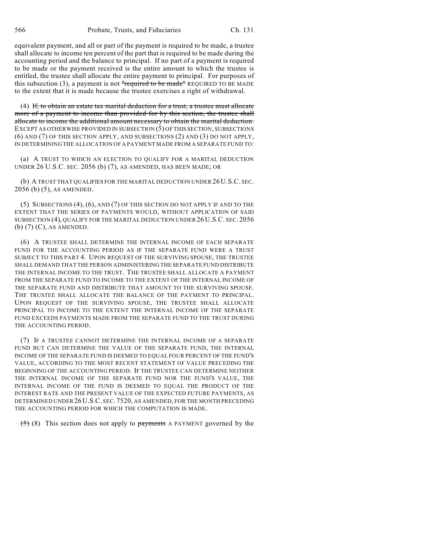equivalent payment, and all or part of the payment is required to be made, a trustee shall allocate to income ten percent of the part that is required to be made during the accounting period and the balance to principal. If no part of a payment is required to be made or the payment received is the entire amount to which the trustee is entitled, the trustee shall allocate the entire payment to principal. For purposes of this subsection (3), a payment is not "required to be made" REQUIRED TO BE MADE to the extent that it is made because the trustee exercises a right of withdrawal.

(4) If, to obtain an estate tax marital deduction for a trust, a trustee must allocate more of a payment to income than provided for by this section, the trustee shall allocate to income the additional amount necessary to obtain the marital deduction. EXCEPT AS OTHERWISE PROVIDED IN SUBSECTION (5) OF THIS SECTION, SUBSECTIONS (6) AND (7) OF THIS SECTION APPLY, AND SUBSECTIONS (2) AND (3) DO NOT APPLY, IN DETERMINING THE ALLOCATION OF A PAYMENT MADE FROM A SEPARATE FUND TO:

(a) A TRUST TO WHICH AN ELECTION TO QUALIFY FOR A MARITAL DEDUCTION UNDER 26 U.S.C. SEC. 2056 (b) (7), AS AMENDED, HAS BEEN MADE; OR

(b) A TRUST THAT QUALIFIES FOR THE MARITAL DEDUCTION UNDER 26 U.S.C. SEC. 2056 (b) (5), AS AMENDED.

(5) SUBSECTIONS (4), (6), AND (7) OF THIS SECTION DO NOT APPLY IF AND TO THE EXTENT THAT THE SERIES OF PAYMENTS WOULD, WITHOUT APPLICATION OF SAID SUBSECTION (4), QUALIFY FOR THE MARITAL DEDUCTION UNDER 26 U.S.C. SEC. 2056 (b) (7) (C), AS AMENDED.

(6) A TRUSTEE SHALL DETERMINE THE INTERNAL INCOME OF EACH SEPARATE FUND FOR THE ACCOUNTING PERIOD AS IF THE SEPARATE FUND WERE A TRUST SUBJECT TO THIS PART 4. UPON REQUEST OF THE SURVIVING SPOUSE, THE TRUSTEE SHALL DEMAND THAT THE PERSON ADMINISTERING THE SEPARATE FUND DISTRIBUTE THE INTERNAL INCOME TO THE TRUST. THE TRUSTEE SHALL ALLOCATE A PAYMENT FROM THE SEPARATE FUND TO INCOME TO THE EXTENT OF THE INTERNAL INCOME OF THE SEPARATE FUND AND DISTRIBUTE THAT AMOUNT TO THE SURVIVING SPOUSE. THE TRUSTEE SHALL ALLOCATE THE BALANCE OF THE PAYMENT TO PRINCIPAL. UPON REQUEST OF THE SURVIVING SPOUSE, THE TRUSTEE SHALL ALLOCATE PRINCIPAL TO INCOME TO THE EXTENT THE INTERNAL INCOME OF THE SEPARATE FUND EXCEEDS PAYMENTS MADE FROM THE SEPARATE FUND TO THE TRUST DURING THE ACCOUNTING PERIOD.

(7) IF A TRUSTEE CANNOT DETERMINE THE INTERNAL INCOME OF A SEPARATE FUND BUT CAN DETERMINE THE VALUE OF THE SEPARATE FUND, THE INTERNAL INCOME OF THE SEPARATE FUND IS DEEMED TO EQUAL FOUR PERCENT OF THE FUND'S VALUE, ACCORDING TO THE MOST RECENT STATEMENT OF VALUE PRECEDING THE BEGINNING OF THE ACCOUNTING PERIOD. IF THE TRUSTEE CAN DETERMINE NEITHER THE INTERNAL INCOME OF THE SEPARATE FUND NOR THE FUND'S VALUE, THE INTERNAL INCOME OF THE FUND IS DEEMED TO EQUAL THE PRODUCT OF THE INTEREST RATE AND THE PRESENT VALUE OF THE EXPECTED FUTURE PAYMENTS, AS DETERMINED UNDER26U.S.C. SEC. 7520, AS AMENDED, FOR THE MONTH PRECEDING THE ACCOUNTING PERIOD FOR WHICH THE COMPUTATION IS MADE.

 $(5)$  (8) This section does not apply to payments A PAYMENT governed by the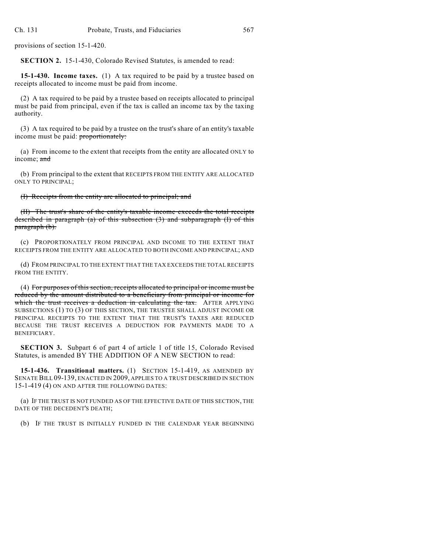provisions of section 15-1-420.

**SECTION 2.** 15-1-430, Colorado Revised Statutes, is amended to read:

**15-1-430. Income taxes.** (1) A tax required to be paid by a trustee based on receipts allocated to income must be paid from income.

(2) A tax required to be paid by a trustee based on receipts allocated to principal must be paid from principal, even if the tax is called an income tax by the taxing authority.

(3) A tax required to be paid by a trustee on the trust's share of an entity's taxable income must be paid: proportionately:

(a) From income to the extent that receipts from the entity are allocated ONLY to income; and

(b) From principal to the extent that RECEIPTS FROM THE ENTITY ARE ALLOCATED ONLY TO PRINCIPAL;

(I) Receipts from the entity are allocated to principal; and

(II) The trust's share of the entity's taxable income exceeds the total receipts described in paragraph (a) of this subsection  $(3)$  and subparagraph  $(I)$  of this paragraph (b).

(c) PROPORTIONATELY FROM PRINCIPAL AND INCOME TO THE EXTENT THAT RECEIPTS FROM THE ENTITY ARE ALLOCATED TO BOTH INCOME AND PRINCIPAL; AND

(d) FROM PRINCIPAL TO THE EXTENT THAT THE TAX EXCEEDS THE TOTAL RECEIPTS FROM THE ENTITY.

(4) For purposes of this section, receipts allocated to principal or income must be reduced by the amount distributed to a beneficiary from principal or income for which the trust receives a deduction in calculating the tax. AFTER APPLYING SUBSECTIONS (1) TO (3) OF THIS SECTION, THE TRUSTEE SHALL ADJUST INCOME OR PRINCIPAL RECEIPTS TO THE EXTENT THAT THE TRUST'S TAXES ARE REDUCED BECAUSE THE TRUST RECEIVES A DEDUCTION FOR PAYMENTS MADE TO A BENEFICIARY.

**SECTION 3.** Subpart 6 of part 4 of article 1 of title 15, Colorado Revised Statutes, is amended BY THE ADDITION OF A NEW SECTION to read:

**15-1-436. Transitional matters.** (1) SECTION 15-1-419, AS AMENDED BY SENATE BILL 09-139, ENACTED IN 2009, APPLIES TO A TRUST DESCRIBED IN SECTION 15-1-419 (4) ON AND AFTER THE FOLLOWING DATES:

(a) IF THE TRUST IS NOT FUNDED AS OF THE EFFECTIVE DATE OF THIS SECTION, THE DATE OF THE DECEDENT'S DEATH;

(b) IF THE TRUST IS INITIALLY FUNDED IN THE CALENDAR YEAR BEGINNING